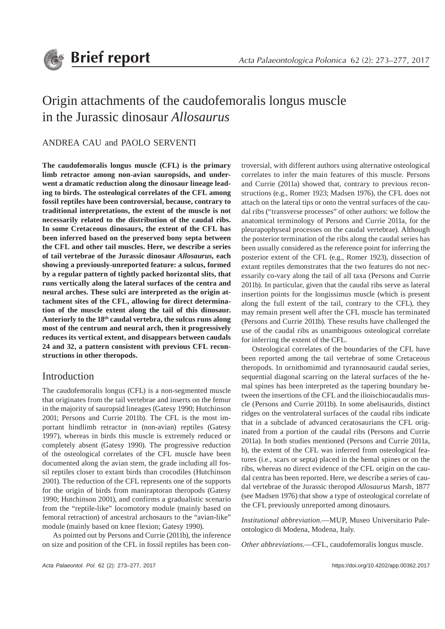

# Origin attachments of the caudofemoralis longus muscle in the Jurassic dinosaur *Allosaurus*

## ANDREA CAU and PAOLO SERVENTI

**The caudofemoralis longus muscle (CFL) is the primary limb retractor among non-avian sauropsids, and underwent a dramatic reduction along the dinosaur lineage leading to birds. The osteological correlates of the CFL among fossil reptiles have been controversial, because, contrary to traditional interpretations, the extent of the muscle is not necessarily related to the distribution of the caudal ribs. In some Cretaceous dinosaurs, the extent of the CFL has been inferred based on the preserved bony septa between the CFL and other tail muscles. Here, we describe a series of tail vertebrae of the Jurassic dinosaur** *Allosaurus,* **each showing a previously-unreported feature: a sulcus, formed by a regular pattern of tightly packed horizontal slits, that runs vertically along the lateral surfaces of the centra and neural arches. These sulci are interpreted as the origin attachment sites of the CFL, allowing for direct determination of the muscle extent along the tail of this dinosaur. Anteriorly to the 18th caudal vertebra, the sulcus runs along most of the centrum and neural arch, then it progressively reduces its vertical extent, and disappears between caudals 24 and 32, a pattern consistent with previous CFL reconstructions in other theropods.**

## Introduction

The caudofemoralis longus (CFL) is a non-segmented muscle that originates from the tail vertebrae and inserts on the femur in the majority of sauropsid lineages (Gatesy 1990; Hutchinson 2001; Persons and Currie 2011b). The CFL is the most important hindlimb retractor in (non-avian) reptiles (Gatesy 1997), whereas in birds this muscle is extremely reduced or completely absent (Gatesy 1990). The progressive reduction of the osteological correlates of the CFL muscle have been documented along the avian stem, the grade including all fossil reptiles closer to extant birds than crocodiles (Hutchinson 2001). The reduction of the CFL represents one of the supports for the origin of birds from maniraptoran theropods (Gatesy 1990; Hutchinson 2001), and confirms a gradualistic scenario from the "reptile-like" locomotory module (mainly based on femoral retraction) of ancestral archosaurs to the "avian-like" module (mainly based on knee flexion; Gatesy 1990).

As pointed out by Persons and Currie (2011b), the inference on size and position of the CFL in fossil reptiles has been controversial, with different authors using alternative osteological correlates to infer the main features of this muscle. Persons and Currie (2011a) showed that, contrary to previous reconstructions (e.g., Romer 1923; Madsen 1976), the CFL does not attach on the lateral tips or onto the ventral surfaces of the caudal ribs ("transverse processes" of other authors: we follow the anatomical terminology of Persons and Currie 2011a, for the pleurapophyseal processes on the caudal vertebrae). Although the posterior termination of the ribs along the caudal series has been usually considered as the reference point for inferring the posterior extent of the CFL (e.g., Romer 1923), dissection of extant reptiles demonstrates that the two features do not necessarily co-vary along the tail of all taxa (Persons and Currie 2011b). In particular, given that the caudal ribs serve as lateral insertion points for the longissimus muscle (which is present along the full extent of the tail, contrary to the CFL), they may remain present well after the CFL muscle has terminated (Persons and Currie 2011b). These results have challenged the use of the caudal ribs as unambiguous osteological correlate for inferring the extent of the CFL.

Osteological correlates of the boundaries of the CFL have been reported among the tail vertebrae of some Cretaceous theropods. In ornithomimid and tyrannosaurid caudal series, sequential diagonal scarring on the lateral surfaces of the hemal spines has been interpreted as the tapering boundary between the insertions of the CFL and the ilioischiocaudalis muscle (Persons and Currie 2011b). In some abelisaurids, distinct ridges on the ventrolateral surfaces of the caudal ribs indicate that in a subclade of advanced ceratosaurians the CFL originated from a portion of the caudal ribs (Persons and Currie 2011a). In both studies mentioned (Persons and Currie 2011a, b), the extent of the CFL was inferred from osteological features (i.e., scars or septa) placed in the hemal spines or on the ribs, whereas no direct evidence of the CFL origin on the caudal centra has been reported. Here, we describe a series of caudal vertebrae of the Jurassic theropod *Allosaurus* Marsh, 1877 (see Madsen 1976) that show a type of osteological correlate of the CFL previously unreported among dinosaurs.

*Institutional abbreviation*.—MUP, Museo Universitario Paleontologico di Modena, Modena, Italy.

*Other abbreviations*.—CFL, caudofemoralis longus muscle.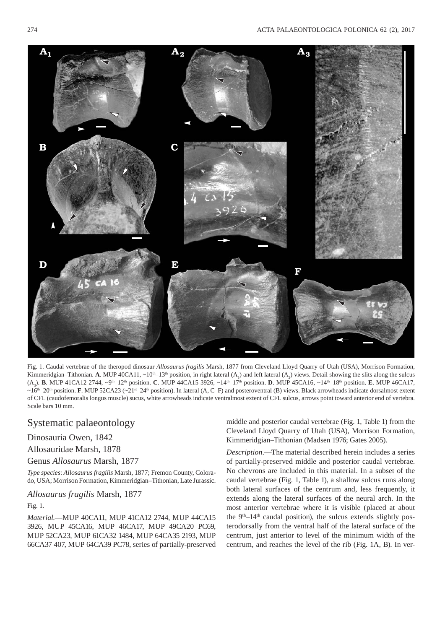

Fig. 1. Caudal vertebrae of the theropod dinosaur *Allosaurus fragilis* Marsh, 1877 from Cleveland Lloyd Quarry of Utah (USA), Morrison Formation, Kimmeridgian–Tithonian. **A**. MUP 40CA11,  $\sim 10^{th}$ –13<sup>th</sup> position, in right lateral (A<sub>1</sub>) and left lateral (A<sub>2</sub>) views. Detail showing the slits along the sulcus (A3 ). **B**. MUP 41CA12 2744, ~9th–12th position. **C**. MUP 44CA15 3926, ~14th–17th position. **D**. MUP 45CA16, ~14th–18th position. **E**. MUP 46CA17, ~16<sup>th</sup>–20<sup>th</sup> position. **F**. MUP 52CA23 (~21<sup>st</sup>–24<sup>th</sup> position). In lateral (A, C–F) and posteroventral (B) views. Black arrowheads indicate dorsalmost extent of CFL (caudofemoralis longus muscle) sucus, white arrowheads indicate ventralmost extent of CFL sulcus, arrows point toward anterior end of vertebra. Scale bars 10 mm.

# Systematic palaeontology

## Dinosauria Owen, 1842

## Allosauridae Marsh, 1878

#### Genus *Allosaurus* Marsh, 1877

*Type species*: *Allosaurus fragilis* Marsh, 1877; Fremon County, Colorado, USA; Morrison Formation, Kimmeridgian–Tithonian, Late Jurassic.

#### *Allosaurus fragilis* Marsh, 1877

#### Fig. 1.

*Material*.—MUP 40CA11, MUP 41CA12 2744, MUP 44CA15 3926, MUP 45CA16, MUP 46CA17, MUP 49CA20 PC69, MUP 52CA23, MUP 61CA32 1484, MUP 64CA35 2193, MUP 66CA37 407, MUP 64CA39 PC78, series of partially- preserved middle and posterior caudal vertebrae (Fig. 1, Table 1) from the Cleveland Lloyd Quarry of Utah (USA), Morrison Formation, Kimmeridgian–Tithonian (Madsen 1976; Gates 2005).

*Description*.—The material described herein includes a series of partially-preserved middle and posterior caudal vertebrae. No chevrons are included in this material. In a subset of the caudal vertebrae (Fig. 1, Table 1), a shallow sulcus runs along both lateral surfaces of the centrum and, less frequently, it extends along the lateral surfaces of the neural arch. In the most anterior vertebrae where it is visible (placed at about the  $9<sup>th</sup>-14<sup>th</sup>$  caudal position), the sulcus extends slightly posterodorsally from the ventral half of the lateral surface of the centrum, just anterior to level of the minimum width of the centrum, and reaches the level of the rib (Fig. 1A, B). In ver-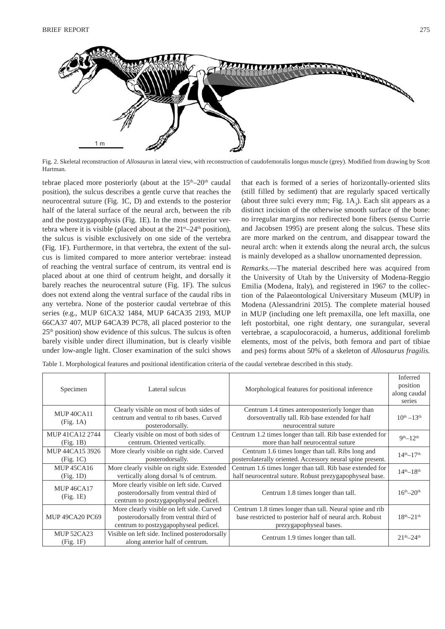

Fig. 2. Skeletal reconstruction of *Allosaurus* in lateral view, with reconstruction of caudofemoralis longus muscle (grey). Modified from drawing by Scott Hartman.

tebrae placed more posteriorly (about at the 15<sup>th</sup>–20<sup>th</sup> caudal position), the sulcus describes a gentle curve that reaches the neurocentral suture (Fig. 1C, D) and extends to the posterior half of the lateral surface of the neural arch, between the rib and the postzygapophysis (Fig. 1E). In the most posterior vertebra where it is visible (placed about at the  $21<sup>st</sup>-24<sup>th</sup>$  position), the sulcus is visible exclusively on one side of the vertebra (Fig. 1F). Furthermore, in that vertebra, the extent of the sulcus is limited compared to more anterior vertebrae: instead of reaching the ventral surface of centrum, its ventral end is placed about at one third of centrum height, and dorsally it barely reaches the neurocentral suture (Fig. 1F). The sulcus does not extend along the ventral surface of the caudal ribs in any vertebra. None of the posterior caudal vertebrae of this series (e.g., MUP 61CA32 1484, MUP 64CA35 2193, MUP 66CA37 407, MUP 64CA39 PC78, all placed posterior to the 25th position) show evidence of this sulcus. The sulcus is often barely visible under direct illumination, but is clearly visible under low- angle light. Closer examination of the sulci shows that each is formed of a series of horizontally-oriented slits (still filled by sediment) that are regularly spaced vertically (about three sulci every mm; Fig.  $1A_3$ ). Each slit appears as a distinct incision of the otherwise smooth surface of the bone: no irregular margins nor redirected bone fibers (sensu Currie and Jacobsen 1995) are present along the sulcus. These slits are more marked on the centrum, and disappear toward the neural arch: when it extends along the neural arch, the sulcus is mainly developed as a shallow unornamented depression.

*Remarks*.—The material described here was acquired from the University of Utah by the University of Modena-Reggio Emilia (Modena, Italy), and registered in 1967 to the collection of the Palaeontological Universitary Museum (MUP) in Modena (Alessandrini 2015). The complete material housed in MUP (including one left premaxilla, one left maxilla, one left postorbital, one right dentary, one surangular, several vertebrae, a scapulocoracoid, a humerus, additional forelimb elements, most of the pelvis, both femora and part of tibiae and pes) forms about 50% of a skeleton of *Allosaurus fragilis*.

Table 1. Morphological features and positional identification criteria of the caudal vertebrae described in this study.

| Specimen                       | Lateral sulcus                                                                                                              | Morphological features for positional inference                                                                                                 | Inferred<br>position<br>along caudal<br>series |
|--------------------------------|-----------------------------------------------------------------------------------------------------------------------------|-------------------------------------------------------------------------------------------------------------------------------------------------|------------------------------------------------|
| MUP 40CA11<br>(Fig. 1A)        | Clearly visible on most of both sides of<br>centrum and ventral to rib bases. Curved<br>posterodorsally.                    | Centrum 1.4 times anteroposteriorly longer than<br>dorsoventrally tall. Rib base extended for half<br>neurocentral suture                       | $10^{th} - 13^{th}$                            |
| MUP 41CA12 2744<br>(Fig. 1B)   | Clearly visible on most of both sides of<br>centrum. Oriented vertically.                                                   | Centrum 1.2 times longer than tall. Rib base extended for<br>more than half neurocentral suture                                                 | $9th - 12th$                                   |
| MUP 44CA15 3926<br>(Fig. 1C)   | More clearly visible on right side. Curved<br>posterodorsally.                                                              | Centrum 1.6 times longer than tall. Ribs long and<br>posterolaterally oriented. Accessory neural spine present.                                 | $14th - 17th$                                  |
| <b>MUP 45CA16</b><br>(Fig. 1D) | More clearly visible on right side. Extended<br>vertically along dorsal 3⁄4 of centrum.                                     | Centrum 1.6 times longer than tall. Rib base extended for<br>half neurocentral suture. Robust prezygapophyseal base.                            | $14th - 18th$                                  |
| <b>MUP 46CA17</b><br>(Fig. 1E) | More clearly visible on left side. Curved<br>posterodorsally from ventral third of<br>centrum to postzygapophyseal pedicel. | Centrum 1.8 times longer than tall.                                                                                                             | $16^{th} - 20^{th}$                            |
| <b>MUP 49CA20 PC69</b>         | More clearly visible on left side. Curved<br>posterodorsally from ventral third of<br>centrum to postzygapophyseal pedicel. | Centrum 1.8 times longer than tall. Neural spine and rib<br>base restricted to posterior half of neural arch. Robust<br>prezygapophyseal bases. | $18th-21th$                                    |
| <b>MUP 52CA23</b><br>(Fig. 1F) | Visible on left side. Inclined posterodorsally<br>along anterior half of centrum.                                           | Centrum 1.9 times longer than tall.                                                                                                             | $21^{th} - 24^{th}$                            |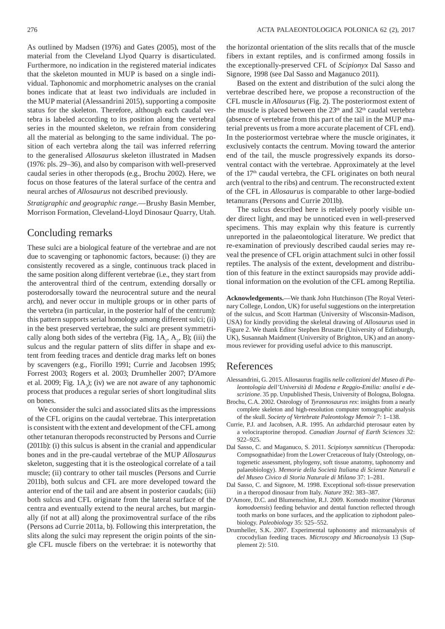As outlined by Madsen (1976) and Gates (2005), most of the material from the Cleveland Llyod Quarry is disarticulated. Furthermore, no indication in the registered material indicates that the skeleton mounted in MUP is based on a single individual. Taphonomic and morphometric analyses on the cranial bones indicate that at least two individuals are included in the MUP material (Alessandrini 2015), supporting a composite status for the skeleton. Therefore, although each caudal vertebra is labeled according to its position along the vertebral series in the mounted skeleton, we refrain from considering all the material as belonging to the same individual. The position of each vertebra along the tail was inferred referring to the generalised *Allosaurus* skeleton illustrated in Madsen (1976: pls. 29–36), and also by comparison with well-preserved caudal series in other theropods (e.g., Brochu 2002). Here, we focus on those features of the lateral surface of the centra and neural arches of *Allosaurus* not described previously.

*Stratigraphic and geographic range*.—Brushy Basin Member, Morrison Formation, Cleveland-Lloyd Dinosaur Quarry, Utah.

## Concluding remarks

These sulci are a biological feature of the vertebrae and are not due to scavenging or taphonomic factors, because: (i) they are consistently recovered as a single, continuous track placed in the same position along different vertebrae (i.e., they start from the anteroventral third of the centrum, extending dorsally or posterodorsally toward the neurocentral suture and the neural arch), and never occur in multiple groups or in other parts of the vertebra (in particular, in the posterior half of the centrum): this pattern supports serial homology among different sulci; (ii) in the best preserved vertebrae, the sulci are present symmetrically along both sides of the vertebra (Fig.  $1A_1$ ,  $A_2$ , B); (iii) the sulcus and the regular pattern of slits differ in shape and extent from feeding traces and denticle drag marks left on bones by scavengers (e.g., Fiorillo 1991; Currie and Jacobsen 1995; Forrest 2003; Rogers et al. 2003; Drumheller 2007; D'Amore et al. 2009; Fig.  $1A_3$ ); (iv) we are not aware of any taphonomic process that produces a regular series of short longitudinal slits on bones.

We consider the sulci and associated slits as the impressions of the CFL origins on the caudal vertebrae. This interpretation is consistent with the extent and development of the CFL among other tetanuran theropods reconstructed by Persons and Currie (2011b): (i) this sulcus is absent in the cranial and appendicular bones and in the pre-caudal vertebrae of the MUP *Allosaurus* skeleton, suggesting that it is the osteological correlate of a tail muscle; (ii) contrary to other tail muscles (Persons and Currie 2011b), both sulcus and CFL are more developed toward the anterior end of the tail and are absent in posterior caudals; (iii) both sulcus and CFL originate from the lateral surface of the centra and eventually extend to the neural arches, but marginally (if not at all) along the proximoventral surface of the ribs (Persons ad Currie 2011a, b). Following this interpretation, the slits along the sulci may represent the origin points of the single CFL muscle fibers on the vertebrae: it is noteworthy that the horizontal orientation of the slits recalls that of the muscle fibers in extant reptiles, and is confirmed among fossils in the exceptionally-preserved CFL of *Scipionyx* Dal Sasso and Signore, 1998 (see Dal Sasso and Maganuco 2011).

Based on the extent and distribution of the sulci along the vertebrae described here, we propose a reconstruction of the CFL muscle in *Allosaurus* (Fig. 2). The posteriormost extent of the muscle is placed between the  $23<sup>th</sup>$  and  $32<sup>th</sup>$  caudal vertebra (absence of vertebrae from this part of the tail in the MUP material prevents us from a more accurate placement of CFL end). In the posteriormost vertebrae where the muscle originates, it exclusively contacts the centrum. Moving toward the anterior end of the tail, the muscle progressively expands its dorsoventral contact with the vertebrae. Approximately at the level of the 17<sup>th</sup> caudal vertebra, the CFL originates on both neural arch (ventral to the ribs) and centrum. The reconstructed extent of the CFL in *Allosaurus* is comparable to other large-bodied tetanurans (Persons and Currie 2011b).

The sulcus described here is relatively poorly visible under direct light, and may be unnoticed even in well-preserved specimens. This may explain why this feature is currently unreported in the palaeontological literature. We predict that re-examination of previously described caudal series may reveal the presence of CFL origin attachment sulci in other fossil reptiles. The analysis of the extent, development and distribution of this feature in the extinct sauropsids may provide additional information on the evolution of the CFL among Reptilia.

**Acknowledgements.**—We thank John Hutchinson (The Royal Veterinary College, London, UK) for useful suggestions on the interpretation of the sulcus, and Scott Hartman (University of Wisconsin-Madison, USA) for kindly providing the skeletal drawing of *Allosaurus* used in Figure 2. We thank Editor Stephen Brusatte (University of Edinburgh, UK), Susannah Maidment (University of Brighton, UK) and an anonymous reviewer for providing useful advice to this manuscript.

## References

- Alessandrini, G. 2015. Allosaurus fragilis *nelle collezioni del Museo di Paleontologia dell'Università di Modena e Reggio-Emilia: analisi e descrizione*. 35 pp. Unpublished Thesis, University of Bologna, Bologna.
- Brochu, C.A. 2002. Osteology of *Tyrannosaurus rex*: insights from a nearly complete skeleton and high-resolution computer tomographic analysis of the skull. *Society of Vertebrate Paleontology Memoir* 7: 1–138.
- Currie, P.J. and Jacobsen, A.R. 1995. An azhdarchid pterosaur eaten by a velo ciraptorine theropod. *Canadian Journal of Earth Sciences* 32: 922–925.
- Dal Sasso, C. and Maganuco, S. 2011. *Scipionyx samniticus* (Theropoda: Compsognathidae) from the Lower Cretaceous of Italy (Osteology, ontogenetic assessment, phylogeny, soft tissue anatomy, taphonomy and palaeobiology). *Memorie della Società Italiana di Scienze Naturali e del Museo Civico di Storia Naturale di Milano* 37: 1–281.
- Dal Sasso, C. and Signore, M. 1998. Exceptional soft-tissue preservation in a theropod dinosaur from Italy. *Nature* 392: 383–387.
- D'Amore, D.C. and Blumenschine, R.J. 2009. Komodo monitor (*Varanus komodoensis*) feeding behavior and dental function reflected through tooth marks on bone surfaces, and the application to ziphodont paleobiology. *Paleobiology* 35: 525–552.
- Drumheller, S.K. 2007. Experimental taphonomy and microanalysis of crocodylian feeding traces. *Microscopy and Microanalysis* 13 (Supplement 2): 510.